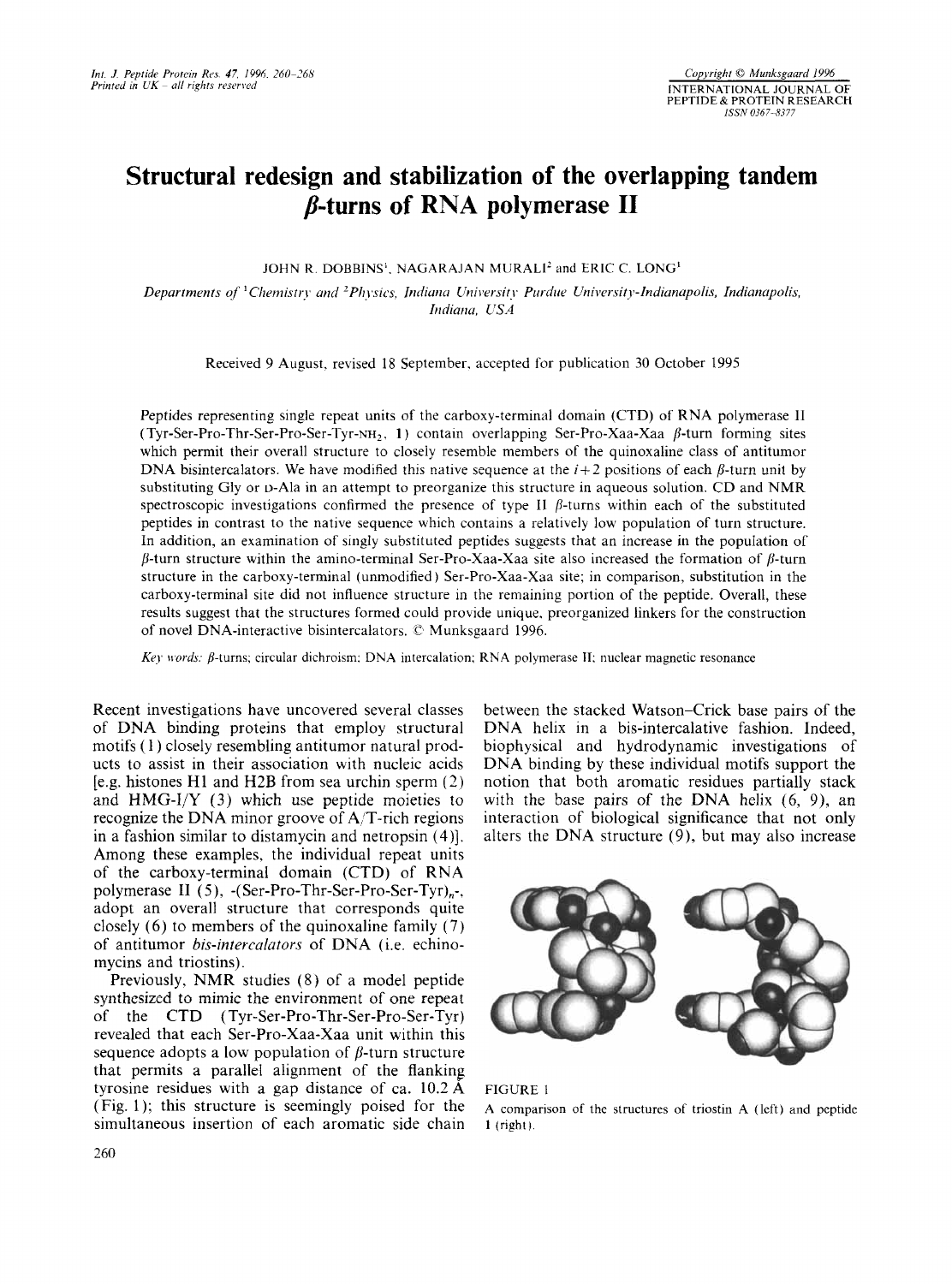# **Structural redesign and stabilization of the overlapping tandem p-turns of RNA polymerase I1**

JOHN R. DOBBINS<sup>1</sup>, NAGARAJAN MURALI<sup>2</sup> and ERIC C. LONG<sup>1</sup>

*Departments of* <sup>*1</sup>Chemistry and <sup>2</sup>Physics, <i>Indiana University Purdue University-Indianapolis, Indianapolis,*</sup> *Indiana*, *USA* 

Received 9 August. revised 18 September. accepted for publication 30 October 1995

Peptides representing single repeat units of the carboxy-terminal domain (CTD) of RNA polymerase I1 (Tyr-Ser-Pro-Thr-Ser-Pro-Ser-Tyr-NH<sub>2</sub>, 1) contain overlapping Ser-Pro-Xaa-Xaa  $\beta$ -turn forming sites which permit their overall structure to closely resemble members of the quinoxaline class of antitumor DNA bisintercalators. We have modified this native sequence at the  $i+2$  positions of each  $\beta$ -turn unit by substituting Gly or p-Ala in an attempt to preorganize this structure in aqueous solution. CD and NMR spectroscopic investigations confirmed the presence of type II  $\beta$ -turns within each of the substituted peptides in contrast to the native sequence which contains a relatively low population of turn structure. In addition, an examination of singly substituted peptides suggests that an increase in the population of  $\beta$ -turn structure within the amino-terminal Ser-Pro-Xaa-Xaa site also increased the formation of  $\beta$ -turn structure in the carboxy-terminal (unmodified ) Ser-Pro-Xaa-Xaa site; in comparison, substitution in the carboxy-terminal site did not influence structure in the remaining portion of the peptide. Overall, these results suggest that the structures formed could provide unique. preorganized linkers for the construction of novel DNA-interactive bisintercalators. *C'* Munksgaard 1996.

*Kej. words;* p-turns; circular dichroism: DNA intercalation: RNA polymerase **11:** nuclear magnetic resonance

Recent investigations have uncovered several classes of DNA binding proteins that employ structural motifs (1) closely resembling antitumor natural products to assist in their association with nucleic acids [e.g. histones H1 and H2B from sea urchin sperm (2) and  $HMG-I/Y$  (3) which use peptide moieties to recognize the DNA minor groove of A/T-rich regions in a fashion similar to distamycin and netropsin **(4)].**  Among these examples, the individual repeat units of the carboxy-terminal domain (CTD) of **RNA**  polymerase II (5), -(Ser-Pro-Thr-Ser-Pro-Ser-Tyr)<sub>n</sub>-, adopt an overall structure that corresponds quite closely (6) to members of the quinoxaline family (7) of antitumor *bis-intercalutors* of DNA (i.e. echinomycins and triostins).

Previously, NMR studies (8) of a model peptide synthesized to mimic the environment of one repeat of the CTD ( **Tyr-Ser-Pro-Thr-Ser-Pro-Ser-Tyr)**  revealed that each Ser-Pro-Xaa-Xaa unit within this sequence adopts a low population of  $\beta$ -turn structure that permits a parallel alignment of the flanking tyrosine residues with a gap distance of ca.  $10.2 \text{ Å}$ (Fig. 1); this structure is seemingly poised for the simultaneous insertion of each aromatic side chain between the stacked Watson-Crick base pairs of the DNA helix in a bis-intercalative fashion. Indeed, biophysical and hydrodynamic investigations of DNA binding by these individual motifs support the notion that both aromatic residues partially stack with the base pairs of the DNA helix (6, 9), an interaction of biological significance that not only alters the DNA structure (9), but may also increase



FIGURE <sup>1</sup>

**A** comparison of the structures of triostin **A** (left) and peptide **1** (right).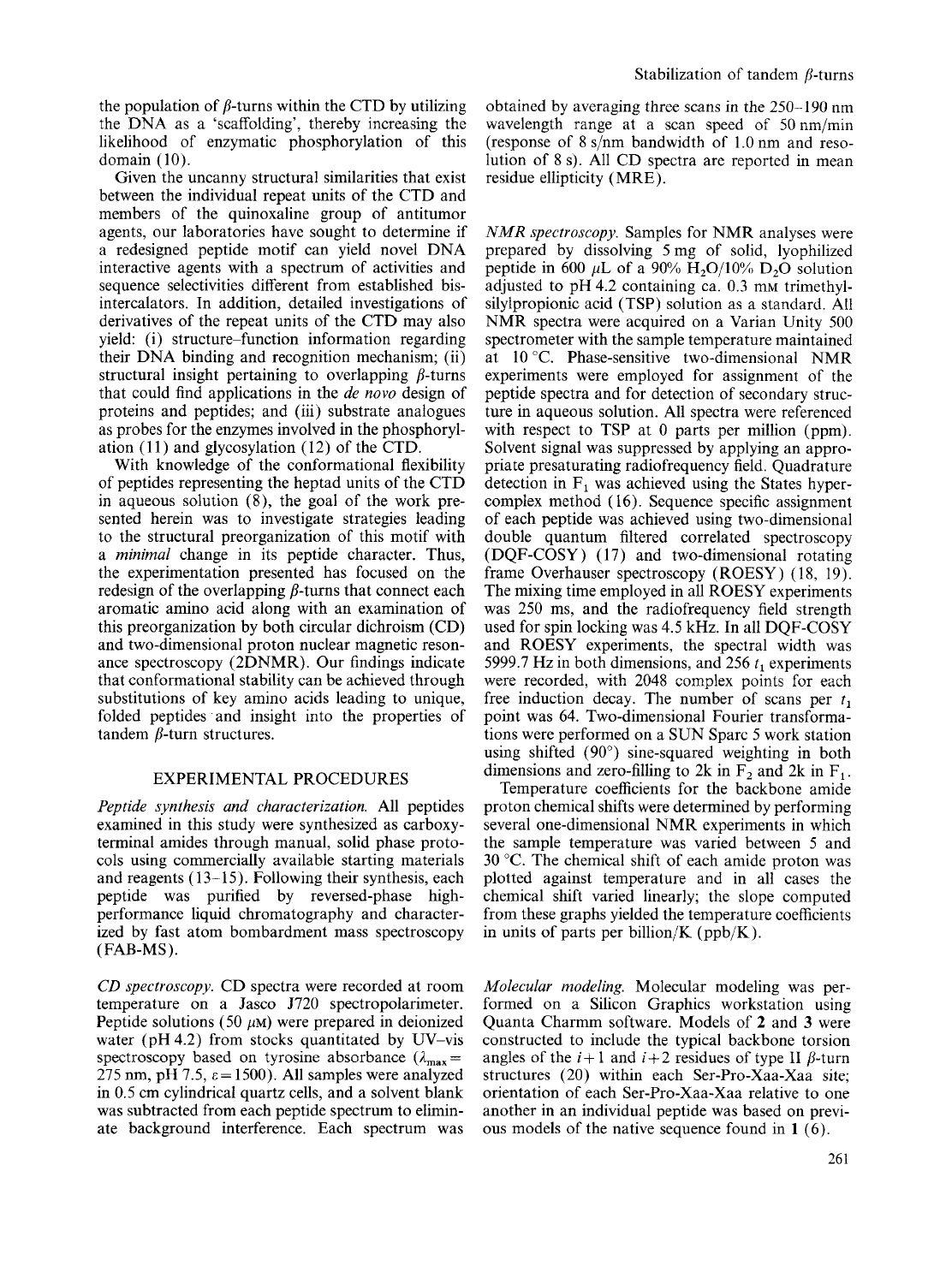the population of  $\beta$ -turns within the CTD by utilizing the DNA as a 'scaffolding', thereby increasing the likelihood of enzymatic phosphorylation of this domain  $(10)$ .

Given the uncanny structural similarities that exist between the individual repeat units of the CTD and members of the quinoxaline group of antitumor agents, our laboratories have sought to determine if a redesigned peptide motif can yield novel DNA interactive agents with a spectrum of activities and sequence selectivities different from established bisintercalators. In addition, detailed investigations of derivatives of the repeat units of the CTD may also yield: (i) structure-function information regarding their DNA binding and recognition mechanism; (ii) structural insight pertaining to overlapping  $\beta$ -turns that could find applications in the *de now* design of proteins and peptides; and (iii) substrate analogues as probes for the enzymes involved in the phosphorylation  $(11)$  and glycosylation  $(12)$  of the CTD.

With knowledge of the conformational flexibility of peptides representing the heptad units of the CTD in aqueous solution (8), the goal of the work presented herein was to investigate strategies leading to the structural preorganization of this motif with a *minimal* change in its peptide character. Thus, the experimentation presented has focused on the redesign of the overlapping  $\beta$ -turns that connect each aromatic amino acid along with an examination of this preorganization by both circular dichroism (CD) and two-dimensional proton nuclear magnetic resonance spectroscopy (2DNMR). Our findings indicate that conformational stability can be achieved through substitutions of key amino acids leading to unique, folded peptides and insight into the properties of tandem  $\beta$ -turn structures.

# EXPERIMENTAL PROCEDURES

*Peptide synthesis and characterization.* All peptides examined in this study were synthesized as carboxyterminal amides through manual, solid phase protocols using commercially available starting materials and reagents (13-15). Following their synthesis, each peptide was purified by reversed-phase highperformance liquid chromatography and characterized by fast atom bombardment mass spectroscopy (FAB-MS).

*CD spectroscopy.* CD spectra were recorded at room temperature on a Jasco J720 spectropolarimeter. Peptide solutions (50  $\mu$ M) were prepared in deionized water ( $pH 4.2$ ) from stocks quantitated by UV-vis spectroscopy based on tyrosine absorbance  $(\lambda_{\text{max}} =$ 275 nm, pH 7.5,  $\varepsilon = 1500$ ). All samples were analyzed in 0.5 cm cylindrical quartz cells, and a solvent blank was subtracted from each peptide spectrum to eliminate background interference. Each spectrum was

obtained by averaging three scans in the 250-190 nm wavelength range at a scan speed of 50nm/min (response of 8 s/nm bandwidth of 1.0 nm and resolution of 8 s). All CD spectra are reported in mean residue ellipticity (MRE).

*NMR spectroscopy.* Samples for NMR analyses were prepared by dissolving *5* mg of solid, lyophilized peptide in 600  $\mu$ L of a 90% H<sub>2</sub>O/10% D<sub>2</sub>O solution adjusted to  $pH$  4.2 containing ca. 0.3 mm trimethylsilylpropionic acid (TSP) solution as a standard. All NMR spectra were acquired on a Varian Unity 500 spectrometer with the sample temperature maintained at 10 "C. Phase-sensitive two-dimensional NMR experiments were employed for assignment of the peptide spectra and for detection of secondary structure in aqueous solution. All spectra were referenced with respect to TSP at 0 parts per million (ppm). Solvent signal was suppressed by applying an appropriate presaturating radiofrequency field. Quadrature detection in  $F_1$  was achieved using the States hypercomplex method ( 16). Sequence specific assignment of each peptide was achieved using two-dimensional double quantum filtered correlated spectroscopy (DQF-COSY) ( 17) and two-dimensional rotating frame Overhauser spectroscopy (ROESY) ( 18, 19). The mixing time employed in all ROESY experiments was 250 ms, and the radiofrequency field strength used for spin locking was 4.5 kHz. In all DQF-COSY and ROESY experiments, the spectral width was 5999.7 Hz in both dimensions, and 256 *t,* experiments were recorded, with 2048 complex points for each free induction decay. The number of scans per  $t_1$ point was **64.** Two-dimensional Fourier transformations were performed on a SUN Sparc *5* work station using shifted (90') sine-squared weighting in both dimensions and zero-filling to 2k in  $F_2$  and 2k in  $F_1$ .

Temperature coefficients for the backbone amide proton chemical shifts were determined by performing several one-dimensional NMR experiments in which the sample temperature was varied between *5* and  $30^{\circ}$ C. The chemical shift of each amide proton was plotted against temperature and in all cases the chemical shift varied linearly; the slope computed from these graphs yielded the temperature coefficients in units of parts per billion/K (ppb/K).

*Molecular modeling.* Molecular modeling was performed on a Silicon Graphics workstation using Quanta Charmm software. Models of **2** and **3** were constructed to include the typical backbone torsion angles of the  $i+1$  and  $i+2$  residues of type II  $\beta$ -turn structures (20) within each Ser-Pro-Xaa-Xaa site; orientation of each Ser-Pro-Xaa-Xaa relative to one another in an individual peptide was based on previous models of the native sequence found in **1** (6).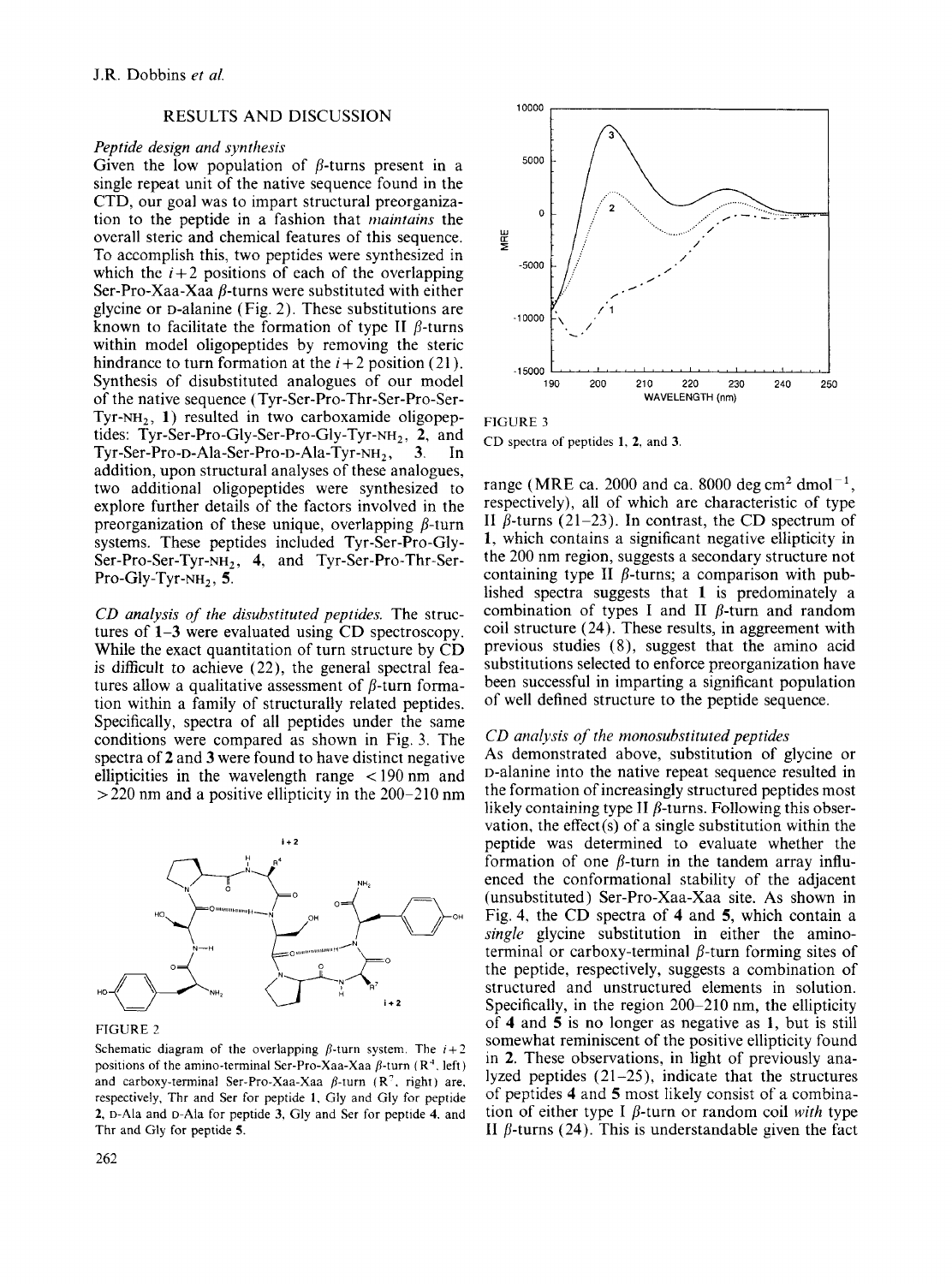# RESULTS AND DISCUSSION

#### *Peptide design and synthesis*

Given the low population of  $\beta$ -turns present in a single repeat unit of the native sequence found in the CTD, our goal was to impart structural preorganization to the peptide in a fashion that *maintains* the overall steric and chemical features of this sequence. To accomplish this, two peptides were synthesized in which the  $i+2$  positions of each of the overlapping Ser-Pro-Xaa-Xaa  $\beta$ -turns were substituted with either glycine or D-alanine (Fig. 2). These substitutions are known to facilitate the formation of type II  $\beta$ -turns within model oligopeptides by removing the steric hindrance to turn formation at the  $i + 2$  position (21). Synthesis of disubstituted analogues of our model of the native sequence **(Tyr-Ser-Pro-Thr-Ser-Pro-Ser-**TYT-NH,, **1)** resulted in two carboxamide oligopeptides: Tyr-Ser-Pro-Gly-Ser-Pro-Gly-Tyr-NH<sub>2</sub>, 2, and **Tyr-Ser-Pro-D-Aia-Ser-Pro-D-Ala-Tyr-NH,** , **3.** In addition, upon structural analyses of these analogues, two additional oligopeptides were synthesized to explore further details of the factors involved in the preorganization of these unique, overlapping  $\beta$ -turn systems. These peptides included Tyr-Ser-Pro-Gly-Ser-Pro-Ser-Tyr-NH, , **4,** and Tyr-Ser-Pro-Thr-Ser-Pro-Gly-Tyr-NH<sub>2</sub>, 5.

*CD analysis of the disubstituted peptides.* The structures of **1-3** were evaluated using CD spectroscopy. While the exact quantitation of turn structure by CD is difficult *to* achieve (22), the general spectral features allow a qualitative assessment of  $\beta$ -turn formation within a family of structurally related peptides. Specifically, spectra of all peptides under the same conditions were compared as shown in Fig. *3.* The spectra of **2** and **3** were found to have distinct negative ellipticities in the wavelength range  $\lt$ 190 nm and  $>$  220 nm and a positive ellipticity in the 200-210 nm



FIGURE 2

Schematic diagram of the overlapping  $\beta$ -turn system. The  $i+2$ positions of the amino-terminal Ser-Pro-Xaa-Xaa  $\beta$ -turn (R<sup>4</sup>, left) and carboxy-terminal Ser-Pro-Xaa-Xaa  $\beta$ -turn (R<sup>2</sup>, right) are, respectively, Thr and *Ser* for peptide 1. Gly and Gly for peptide **2, o-Ah** and D-Ala for peptide **3,** Gly and Ser for peptide **4.** and Thr and Gly for peptide **5.** 



FIGURE **3**  CD spectra **of** peptides **1, 2,** and **3.** 

range (MRE ca. 2000 and ca. 8000 deg cm<sup>2</sup> dmol<sup>-1</sup>, respectively), all of which are characteristic of type II  $\beta$ -turns (21-23). In contrast, the CD spectrum of **1,** which contains **a** significant negative eilipticity in the 200 nm region, suggests a secondary structure not containing type **II**  $\beta$ -turns; a comparison with published spectra suggests that **1** is predominately a combination of types I and II  $\beta$ -turn and random coil structure (24). These results, in aggreement with previous studies **(S),** suggest that the amino acid substitutions selected to enforce preorganization have been successful in imparting a significant population of well defined structure to the peptide sequence.

#### *CD analysis of the monosubstituted peptides*

As demonstrated above, substitution of glycine or D-alanine into the native repeat sequence resulted in the formation of increasingly structured peptides most likely containing type **II**  $\beta$ -turns. Following this observation, the effect(s) of a single substitution within the peptide was determined to evaluate whether the formation of one  $\beta$ -turn in the tandem array influenced the conformational stability of the adjacent (unsubstituted) Ser-Pro-Xaa-Xaa site. As shown in Fig. 4, the CD spectra of **4** and *5,* which contain a *single* glycine substitution in either the aminoterminal or carboxy-terminal  $\beta$ -turn forming sites of the peptide, respectively, suggests a combination of structured and unstructured elements in solution. Specifically, in the region 200-210 nm, the ellipticity of **4** and *5* is no longer as negative as **1,** but is still somewhat reminiscent of the positive ellipticity found in **2.** These observations, in light of previously analyzed peptides  $(21-25)$ , indicate that the structures of peptides **4** and *5* most likely consist of a combination of either type I  $\beta$ -turn or random coil *with* type II  $\beta$ -turns (24). This is understandable given the fact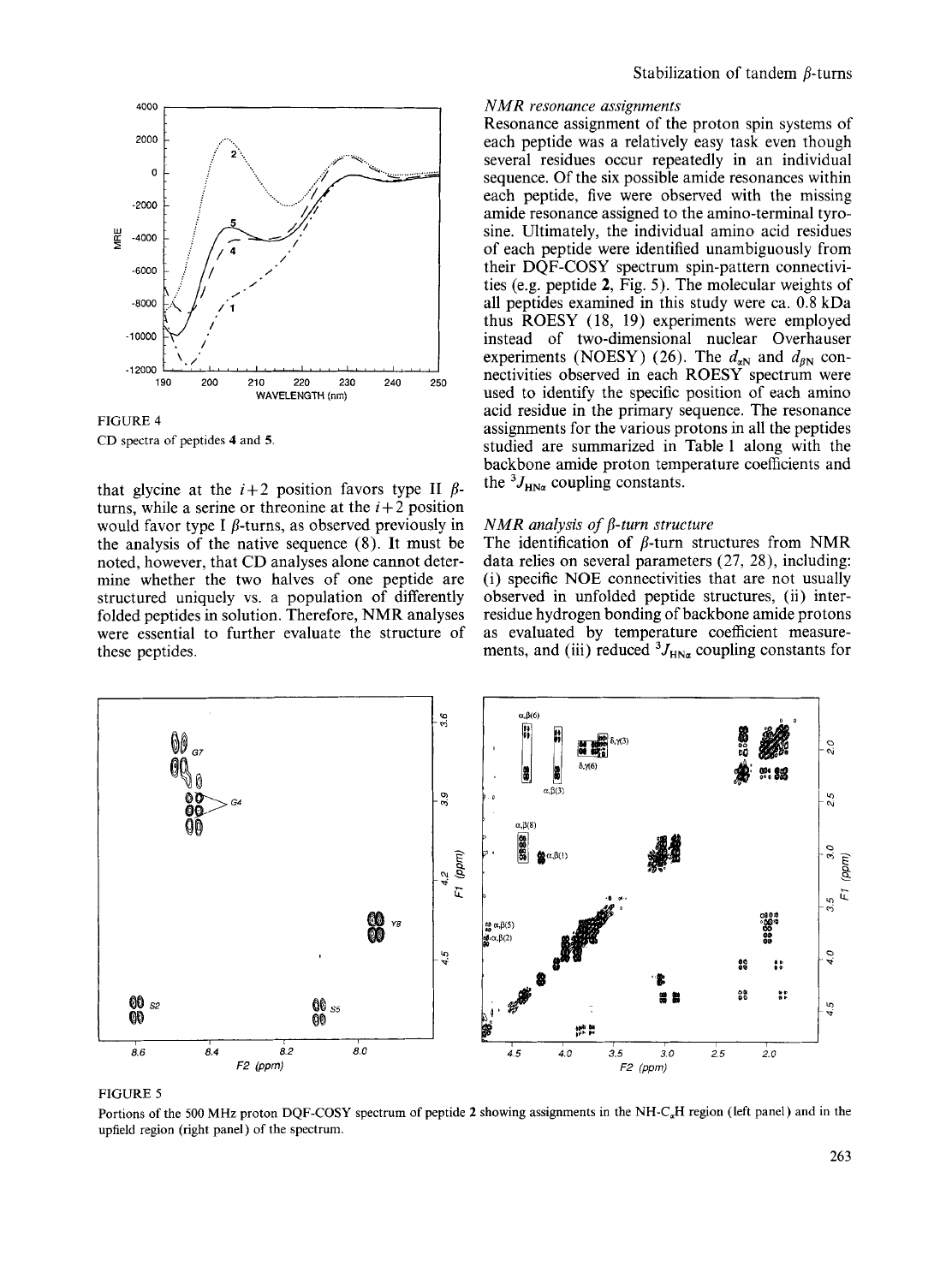

FIGURE **4**  CD spectra of peptides **4** and *5.* 

that glycine at the  $i+2$  position favors type **II**  $\beta$ turns, while a serine or threonine at the  $i+2$  position would favor type I  $\beta$ -turns, as observed previously in the analysis of the native sequence (8). It must be noted, however, that CD analyses alone cannot determine whether the two halves of one peptide are structured uniquely vs. a population of differently folded peptides in solution. Therefore, NMR analyses were essential to further evaluate the structure of these peptides.

# *NMR resonance assignments*

Resonance assignment of the proton spin systems of each peptide was a relatively easy task even though several residues occur repeatedly in an individual sequence. Of the six possible amide resonances within each peptide, five were observed with the missing amide resonance assigned to the amino-terminal tyrosine. Ultimately, the individual amino acid residues of each peptide were identified unambiguously from their DQF-COSY spectrum spin-pattern connectivities (e.g. peptide **2,** Fig. 5). The molecular weights of all peptides examined in this study were ca. 0.8 kDa thus ROESY (18, 19) experiments were employed instead of two-dimensional nuclear Overhauser experiments (NOESY) (26). The  $d_{aN}$  and  $d_{BN}$  connectivities observed in each **ROESY** spectrum were used to identify the specific position of each amino acid residue in the primary sequence. The resonance assignments for the various protons in all the peptides studied are summarized in Table 1 along with the backbone amide proton temperature coefficients and the  ${}^{3}J_{H N_{\alpha}}$  coupling constants. Stabilization of tundent  $\beta$ -tunes<br> **Examplementary**<br> **Examplementary**<br> **Examplementary**<br> **Examplementary**<br> **Examplementary**<br> **Examplementary**<br> **Examplementary**<br> **Examplementary**<br> **Examplementary**<br> **Examplementary**<br> **Exa** 

# *NMR analysis of p-turn structure*

The identification of  $\beta$ -turn structures from NMR data relies on several parameters (27, **28),** including: (i) specific NOE connectivities that are not usually observed in unfolded peptide structures, (ii) interresidue hydrogen bonding of backbone amide protons as evaluated by temperature coefficient measurements, and (iii) reduced  ${}^{3}J_{HN\alpha}$  coupling constants for



FIGURE *<sup>5</sup>*

Portions of the 500 MHz proton **DQF-COSY** spectrum **of** peptide **2** showing assignments in the NH-C,H region (left panel) and in the upfield region (right panel) of the spectrum.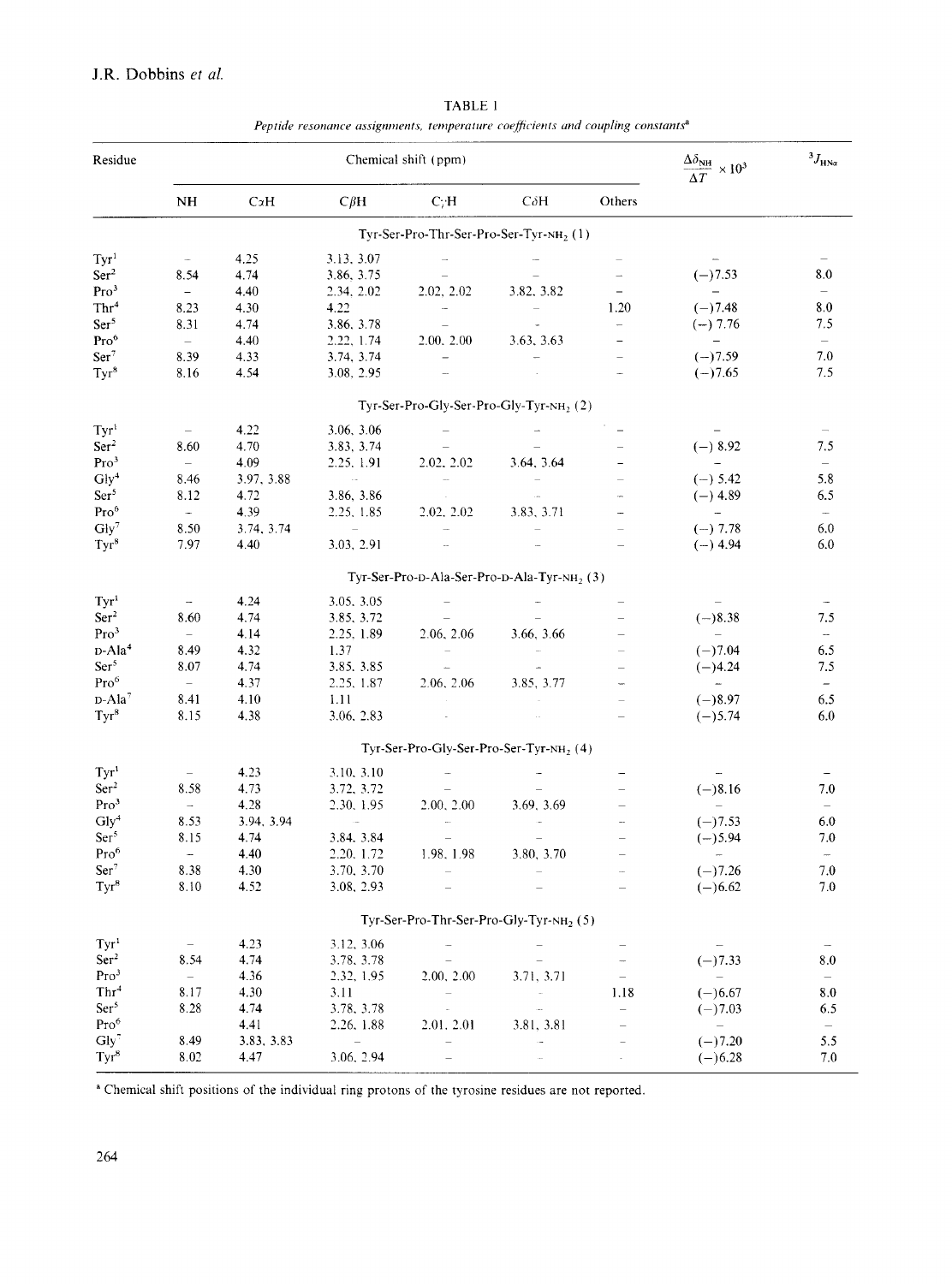# J.R. Dobbins *ef ul.*

| Peptide resonance assignments, temperature coefficients and coupling constants <sup>a</sup> |                          |            |                          |                                                                           |                                                         |                          |                                                               |                          |
|---------------------------------------------------------------------------------------------|--------------------------|------------|--------------------------|---------------------------------------------------------------------------|---------------------------------------------------------|--------------------------|---------------------------------------------------------------|--------------------------|
| Residue                                                                                     | Chemical shift (ppm)     |            |                          |                                                                           |                                                         |                          | $\frac{\Delta \delta_{\text{NH}}}{\Delta T}$<br>$\times 10^3$ | $^{3}J_{\text{HNZ}}$     |
|                                                                                             | NH                       | CxH        | $C\beta H$               | C/H                                                                       | $C\delta H$                                             | Others                   |                                                               |                          |
|                                                                                             |                          |            |                          |                                                                           | Tyr-Ser-Pro-Thr-Ser-Pro-Ser-Tyr-NH <sub>2</sub> (1)     |                          |                                                               |                          |
| Tyr <sup>1</sup>                                                                            | $\sim$                   | 4.25       | 3.13, 3.07               | $\overline{\phantom{a}}$                                                  |                                                         |                          | $\overline{\phantom{a}}$                                      |                          |
| Ser <sup>2</sup>                                                                            | 8.54                     | 4.74       | 3.86, 3.75               | $\overline{\phantom{m}}$                                                  |                                                         | $\rightarrow$            | $(-)7.53$                                                     | 8.0                      |
| Pro <sup>3</sup>                                                                            | $\equiv$                 | 4.40       | 2.34, 2.02               | 2.02, 2.02                                                                | 3.82, 3.82                                              | $\qquad \qquad -$        | $\equiv$ .                                                    | $\overline{\phantom{a}}$ |
| Thr <sup>4</sup>                                                                            | 8.23                     | 4.30       | 4.22                     | $\sim$                                                                    | $\equiv$                                                | 1.20                     | $(-)7.48$                                                     | 8.0                      |
| Ser <sup>5</sup>                                                                            | 8.31                     | 4.74       | 3.86, 3.78               |                                                                           |                                                         | $\overline{\phantom{0}}$ | $(-) 7.76$                                                    | 7.5                      |
| Pro <sup>6</sup>                                                                            | $\equiv$                 | 4.40       | 2.22, 1.74               | 2.00, 2.00                                                                | 3.63, 3.63                                              | $\qquad \qquad -$        | $\frac{1}{2}$                                                 | $\overline{\phantom{a}}$ |
| Ser <sup>7</sup>                                                                            | 8.39                     | 4.33       | 3.74, 3.74               | $\equiv$                                                                  | $\sim$                                                  | $\overline{\phantom{a}}$ | $(-)7.59$                                                     | 7.0                      |
| $Tyr^8$                                                                                     | 8.16                     | 4.54       | 3.08, 2.95               | $\sim$                                                                    |                                                         |                          | $(-)7.65$                                                     | 7.5                      |
|                                                                                             |                          |            |                          |                                                                           | Tyr-Ser-Pro-Gly-Ser-Pro-Gly-Tyr-NH, (2)                 |                          |                                                               |                          |
| Tyr <sup>1</sup>                                                                            |                          | 4.22       | 3.06, 3.06               |                                                                           |                                                         |                          |                                                               |                          |
| Ser <sup>2</sup>                                                                            | 8.60                     | 4.70       | 3.83, 3.74               |                                                                           |                                                         |                          | $(-) 8.92$                                                    | 7.5                      |
| Pro <sup>3</sup>                                                                            | $\equiv$                 | 4.09       | 2.25, 1.91               | 2.02, 2.02                                                                | 3.64, 3.64                                              | -                        | $\sim$                                                        | $\overline{\phantom{m}}$ |
| Gly <sup>4</sup>                                                                            | 8.46                     | 3.97, 3.88 | $\sim$                   | $\sim$                                                                    | $\sim$                                                  | $\equiv$                 | $(-) 5.42$                                                    | 5.8                      |
| Ser <sup>5</sup>                                                                            | 8.12                     | 4.72       | 3.86, 3.86               | $\sim$                                                                    |                                                         |                          | $(-)$ 4.89                                                    | 6.5                      |
| $\mathrm{Pro}^6$                                                                            | $\sim$ .                 | 4.39       | 2.25, 1.85               | 2.02. 2.02                                                                | 3.83, 3.71                                              |                          | $\sim$ $-$                                                    | $\overline{\phantom{m}}$ |
| $Gly^7$                                                                                     | 8.50                     | 3.74, 3.74 | $\lambda=1$              |                                                                           |                                                         | $\overline{\phantom{0}}$ | $(-) 7.78$                                                    | 6.0                      |
| $Tyr^8$                                                                                     | 7.97                     | 4.40       | 3.03, 2.91               | $\bar{\mathcal{L}}$                                                       |                                                         | $\equiv$                 | $(-)$ 4.94                                                    | 6.0                      |
|                                                                                             |                          |            |                          |                                                                           | Tyr-Ser-Pro-D-Ala-Ser-Pro-D-Ala-Tyr-NH <sub>2</sub> (3) |                          |                                                               |                          |
| Tyr <sup>1</sup>                                                                            | $\overline{\phantom{a}}$ | 4.24       | 3.05, 3.05               |                                                                           |                                                         |                          |                                                               |                          |
| Ser <sup>2</sup>                                                                            | 8.60                     | 4.74       | 3.85, 3.72               |                                                                           |                                                         |                          | $(-)8.38$                                                     | 7.5                      |
| Pro <sup>3</sup>                                                                            | $\equiv$                 | 4.14       | 2.25, 1.89               | 2.06, 2.06                                                                | 3.66, 3.66                                              |                          | $\overline{\phantom{0}}$                                      | $\bar{a}$                |
| $D-Ala4$                                                                                    | 8.49                     | 4.32       | 1.37                     | $\sim$                                                                    |                                                         |                          | $(-)7.04$                                                     | 6.5                      |
| Ser <sup>5</sup>                                                                            | 8.07                     | 4.74       | 3.85, 3.85               | $\mathcal{L}_{\text{max}}$                                                |                                                         |                          | $(-)4.24$                                                     | 7.5                      |
| Pro <sup>6</sup>                                                                            | $\equiv$                 | 4.37       | 2.25, 1.87               | 2.06, 2.06                                                                | 3.85, 3.77                                              |                          | $\frac{1}{2}$                                                 | $\overline{\phantom{a}}$ |
| $D-Ala^7$                                                                                   | 8.41                     | 4.10       | 1.11                     |                                                                           |                                                         |                          | $(-)8.97$                                                     | 6.5                      |
| $Tyr^8$                                                                                     | 8.15                     | 4.38       | 3.06, 2.83               | $\sim$                                                                    |                                                         |                          | $(-) 5.74$                                                    | 6.0                      |
|                                                                                             |                          |            |                          |                                                                           | $Tyr-Ser-Pro-Gly-Ser-Pro-Ser-Tyr-NH2(4)$                |                          |                                                               |                          |
|                                                                                             |                          |            |                          |                                                                           |                                                         |                          |                                                               |                          |
| Tyr <sup>1</sup>                                                                            | $\equiv$                 | 4.23       | 3.10, 3.10               |                                                                           |                                                         |                          |                                                               |                          |
| Ser <sup>2</sup>                                                                            | 8.58                     | 4.73       | 3.72, 3.72               | $\equiv$                                                                  |                                                         |                          | $(-)8.16$<br>$\equiv$                                         | 7.0                      |
| Pro <sup>3</sup>                                                                            | $\overline{\phantom{a}}$ | 4.28       | 2.30, 1.95<br>$\sim$     | 2.00, 2.00<br>w.                                                          | 3.69, 3.69                                              |                          |                                                               | $\equiv$                 |
| Gly <sup>4</sup>                                                                            | 8.53                     | 3.94, 3.94 |                          |                                                                           |                                                         |                          | $(-)7.53$                                                     | 6.0                      |
| Ser <sup>5</sup>                                                                            | 8.15                     | 4.74       | 3.84.3.84                | $\hspace{1.0cm} \rule{1.5cm}{0.15cm} \hspace{1.0cm} \rule{1.5cm}{0.15cm}$ |                                                         |                          | $(-)5.94$                                                     | 7.0                      |
| $Pro^{\circ}$                                                                               | $\sim$                   | 4.40       | 2.20, 1.72               | 1.98, 1.98                                                                | 3.80, 3.70<br>$\equiv$                                  |                          | $\sim 100$ km s $^{-1}$                                       | $\overline{\phantom{a}}$ |
| Ser <sup>7</sup>                                                                            | 8.38                     | 4.30       | 3.70, 3.70               |                                                                           |                                                         |                          | $(-)7.26$                                                     | $7.0\,$                  |
| $Tyr^8$                                                                                     | 8.10                     | 4.52       | 3.08, 2.93               |                                                                           |                                                         |                          | $(-)6.62$                                                     | 7.0                      |
|                                                                                             |                          |            |                          |                                                                           | Tyr-Ser-Pro-Thr-Ser-Pro-Gly-Tyr-NH <sub>2</sub> (5)     |                          |                                                               |                          |
| Tyr <sup>1</sup>                                                                            | $\overline{\phantom{a}}$ | 4.23       | 3.12, 3.06               |                                                                           |                                                         |                          |                                                               |                          |
| Ser <sup>2</sup>                                                                            | 8.54                     | 4.74       | 3.78, 3.78               |                                                                           |                                                         |                          | $(-)7.33$                                                     | 8.0                      |
| Pro <sup>3</sup>                                                                            | $\overline{\phantom{0}}$ | 4.36       | 2.32, 1.95               | 2.00, 2.00                                                                | 3.71, 3.71                                              |                          | $\overline{\phantom{a}}$                                      | $\overline{\phantom{a}}$ |
| Thr <sup>4</sup>                                                                            | 8.17                     | 4.30       | 3.11                     | $\overline{\phantom{0}}$                                                  | $\mathcal{L}_{\mathcal{A}}$                             | 1.18                     | $(-)6.67$                                                     | 8.0                      |
| Ser <sup>5</sup>                                                                            | 8.28                     | 4.74       | 3.78, 3.78               |                                                                           | $\overline{\phantom{a}}$                                | $\overline{\phantom{0}}$ | $(-)7.03$                                                     | 6.5                      |
| Pro <sup>6</sup>                                                                            |                          | 4.41       | 2.26, 1.88               | 2.01, 2.01                                                                | 3.81, 3.81                                              |                          | $\equiv$                                                      | $\equiv$                 |
| $Gly^7$                                                                                     | 8.49                     | 3.83, 3.83 | $\overline{\phantom{a}}$ |                                                                           | ò.                                                      |                          | $(-)7.20$                                                     | 5.5                      |
| $Tyr^8$                                                                                     | 8.02                     | 4.47       | 3.06, 2.94               |                                                                           |                                                         |                          | $(-)6.28$                                                     | 7.0                      |

**TABLE** 1

**<sup>a</sup>**Chemical shift positions of the individual ring protons of the tyrosine residues are not reported.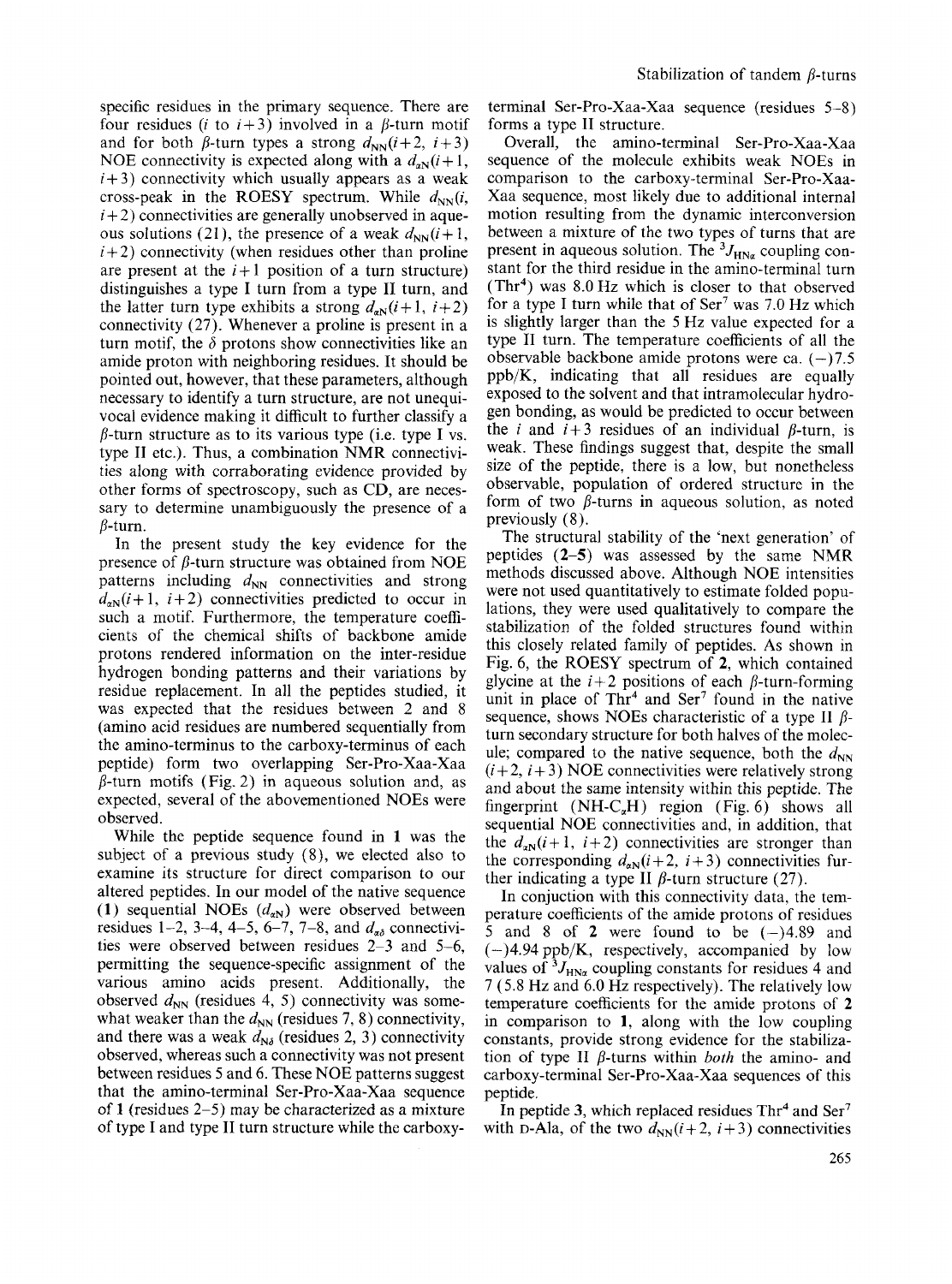specific residues in the primary sequence. There are four residues (*i* to  $i+3$ ) involved in a  $\beta$ -turn motif and for both  $\beta$ -turn types a strong  $d_{NN}(i+2, i+3)$ NOE connectivity is expected along with a  $d_{aN}(i+1)$ ,  $i+3$ ) connectivity which usually appears as a weak cross-peak in the ROESY spectrum. While  $d_{NN}(i,$  $i+2$ ) connectivities are generally unobserved in aqueous solutions (21), the presence of a weak  $d_{NN}(i+1)$ ,  $i+2$ ) connectivity (when residues other than proline are present at the  $i+1$  position of a turn structure) distinguishes a type I turn from a type **I1** turn, and the latter turn type exhibits a strong  $d_{aN}(i+1, i+2)$ connectivity (27). Whenever a proline is present in a turn motif, the  $\delta$  protons show connectivities like an amide proton with neighboring residues, It should be pointed out, however, that these parameters, although necessary to identify a turn structure, are not unequivocal evidence making it difficult to further classify a  $\beta$ -turn structure as to its various type (i.e. type I vs. type **I1** etc.). Thus, a combination NMR connectivities along with corraborating evidence provided by other forms of spectroscopy, such as CD, are necessary to determine unambiguously the presence of a  $\beta$ -turn.

In the present study the key evidence for the presence of  $\beta$ -turn structure was obtained from NOE patterns including  $d_{NN}$  connectivities and strong  $d_{aN}(i+1, i+2)$  connectivities predicted to occur in such a motif. Furthermore, the temperature coefficients of the chemical shifts of backbone amide protons rendered information on the inter-residue hydrogen bonding patterns and their variations by residue replacement. In all the peptides studied, it was expected that the residues between *2* and 8 (amino acid residues are numbered sequentially from the amino-terminus to the carboxy-terminus of each peptide) form two overlapping Ser-Pro-Xaa-Xaa  $\beta$ -turn motifs (Fig. 2) in aqueous solution and, as expected, several of the abovementioned NOEs were observed.

While the peptide sequence found in **1** was the subject of a previous study (8), we elected also to examine its structure for direct comparison to our altered peptides. In our model of the native sequence (1) sequential NOEs  $(d_{aN})$  were observed between residues 1-2, 3-4, 4-5, 6-7, 7-8, and  $d_{\alpha\delta}$  connectivities were observed between residues *2-3* and 5-6, permitting the sequence-specific assignment of the various amino acids present. Additionally, the observed  $d_{NN}$  (residues 4, 5) connectivity was somewhat weaker than the  $d_{NN}$  (residues 7, 8) connectivity, and there was a weak  $d_{N\delta}$  (residues 2, 3) connectivity observed, whereas such a connectivity was not present between residues *5* and **6.** These NOE patterns suggest that the amino-terminal Ser-Pro-Xaa-Xaa sequence of **1** (residues 2-5) may be characterized as a mixture of type I and type **I1** turn structure while the carboxyterminal Ser-Pro-Xaa-Xaa sequence (residues 5-8) forms a type **I1** structure.

Overall, the amino-terminal Ser-Pro-Xaa-Xaa sequence of the molecule exhibits weak NOEs in comparison to the carboxy-terminal Ser-Pro-Xaa-Xaa sequence, most likely due to additional internal motion resulting from the dynamic interconversion between a mixture of the two types of turns that are present in aqueous solution. The  ${}^{3}J_{HN\alpha}$  coupling constant for the third residue in the amino-terminal turn  $(Thr<sup>4</sup>)$  was 8.0 Hz which is closer to that observed for a type I turn while that of  $\text{Ser}^7$  was 7.0 Hz which is slightly larger than the *5* Hz value expected for a type **I1** turn. The temperature coefficients of all the observable backbone amide protons were ca.  $(-)7.5$ ppb/K, indicating that all residues are equally exposed to the solvent and that intramolecular hydrogen bonding, as would be predicted to occur between the *i* and  $i+3$  residues of an individual  $\beta$ -turn, is weak. These findings suggest that, despite the small size of the peptide, there is a low, but nonetheless observable, population of ordered structure in the form of two  $\beta$ -turns in aqueous solution, as noted previously (8).

The structural stability of the 'next generation' of peptides **(2-5)** was assessed by the same NMR methods discussed above. Although NOE intensities were not used quantitatively to estimate folded populations, they were used qualitatively to compare the stabilization of the folded structures found within this closely related family of peptides. **As** shown in Fig. **6,** the ROESY spectrum of **2,** which contained glycine at the  $i+2$  positions of each  $\beta$ -turn-forming unit in place of Thr<sup>4</sup> and Ser<sup>7</sup> found in the native sequence, shows NOEs characteristic of a type  $\prod \beta$ turn secondary structure for both halves of the molecule; compared to the native sequence, both the  $d_{NN}$  $(i+2, i+3)$  NOE connectivities were relatively strong and about the same intensity within this peptide. The fingerprint  $(NH-C_{\alpha}H)$  region (Fig. 6) shows all sequential NOE connectivities and, in addition, that the  $d_{aN}(i+1, i+2)$  connectivities are stronger than the corresponding  $d_{\alpha N}(i+2, i+3)$  connectivities further indicating a type **II**  $\beta$ -turn structure (27).

In conjuction with this connectivity data, the temperature coefficients of the amide protons of residues 5 and 8 of 2 were found to be  $(-)4.89$  and **(-)4.94** ppb/K, respectively, accompanied by low values of  ${}^{3}J_{\text{HNa}}$  coupling constants for residues 4 and 7 (5.8 Hz and 6.0 Hz respectively). The relatively low temperature coefficients for the amide protons of **2**  in comparison to **1,** along with the low coupling constants, provide strong evidence for the stabilization of type II *β*-turns within *both* the amino- and carboxy-terminal Ser-Pro-Xaa-Xaa sequences of this peptide.

In peptide 3, which replaced residues  $\text{Thr}^4$  and  $\text{Ser}^7$ with D-Ala, of the two  $d_{NN}(i+2, i+3)$  connectivities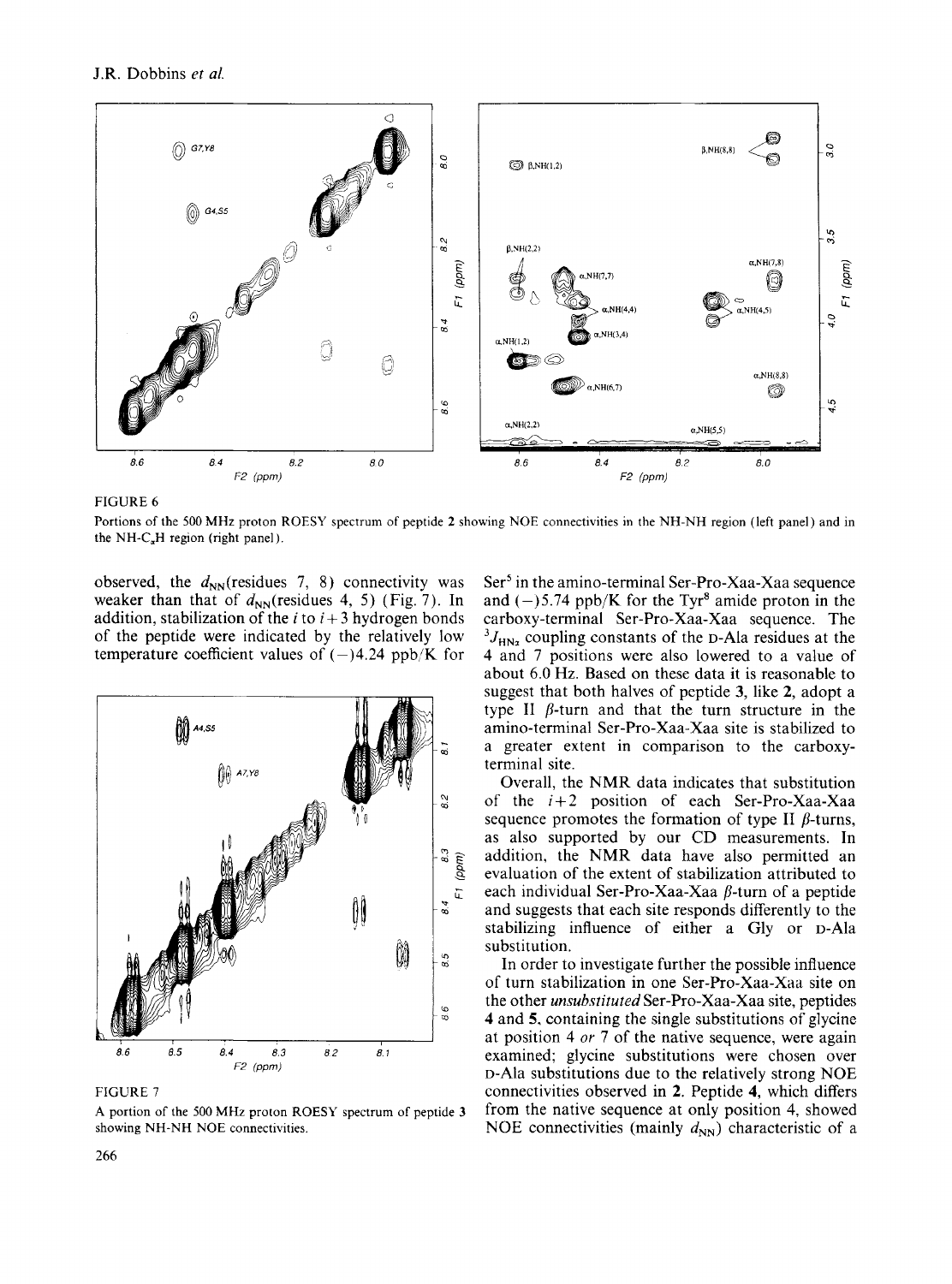

FIGURE *6* 

Portions of the *500* MHz proton ROESY spectrum of peptide **2** showing NOE connectivities in the NH-NH region (left panel) and in the NH-C<sub>a</sub>H region (right panel).

observed, the  $d_{NN}$ (residues 7, 8) connectivity was weaker than that of  $d_{NN}$ (residues 4, 5) (Fig. 7). In addition, stabilization of the *i* to  $i + 3$  hydrogen bonds of the peptide were indicated by the relatively low temperature coefficient values of  $(-)4.24$  ppb/K for



FIGURE 7

**A** portion of the 500 MHz proton ROESY spectrum of peptide **3**  showing NH-NH NOE connectivities.

Ser<sup>5</sup> in the amino-terminal Ser-Pro-Xaa-Xaa sequence and  $(-)$ 5.74 ppb/K for the Tyr<sup>8</sup> amide proton in the carboxy-terminal Ser-Pro-Xaa-Xaa sequence. The  ${}^{3}J_{HN_2}$  coupling constants of the D-Ala residues at the 4 and 7 positions were also lowered to a value of about 6.0 Hz. Based on these data it is reasonable to suggest that both halves of peptide **3,** like **2,** adopt a type II  $\beta$ -turn and that the turn structure in the amino-terminal Ser-Pro-Xaa-Xaa site is stabilized to a greater extent in comparison to the carboxyterminal site.

Overall, the NMR data indicates that substitution of the *i+2* position of each Ser-Pro-Xaa-Xaa sequence promotes the formation of type II  $\beta$ -turns, as also supported by our CD measurements. In addition, the NMR data have also permitted an evaluation of the extent of stabilization attributed to each individual Ser-Pro-Xaa-Xaa  $\beta$ -turn of a peptide and suggests that each site responds differently to the stabilizing influence of either a Gly or D-Ala substitution.

In order to investigate further the possible influence of turn stabilization in one Ser-Pro-Xaa-Xaa site on the other *unsubstituted* Ser-Pro-Xaa-Xaa site, peptides **4** and *5,* containing the single substitutions of glycine at position 4 *or* 7 of the native sequence, were again examined; glycine substitutions were chosen over D-Ala substitutions due to the relatively strong NOE connectivities observed in **2.** Peptide **4,** which differs from the native sequence at only position 4, showed NOE connectivities (mainly  $d_{NN}$ ) characteristic of a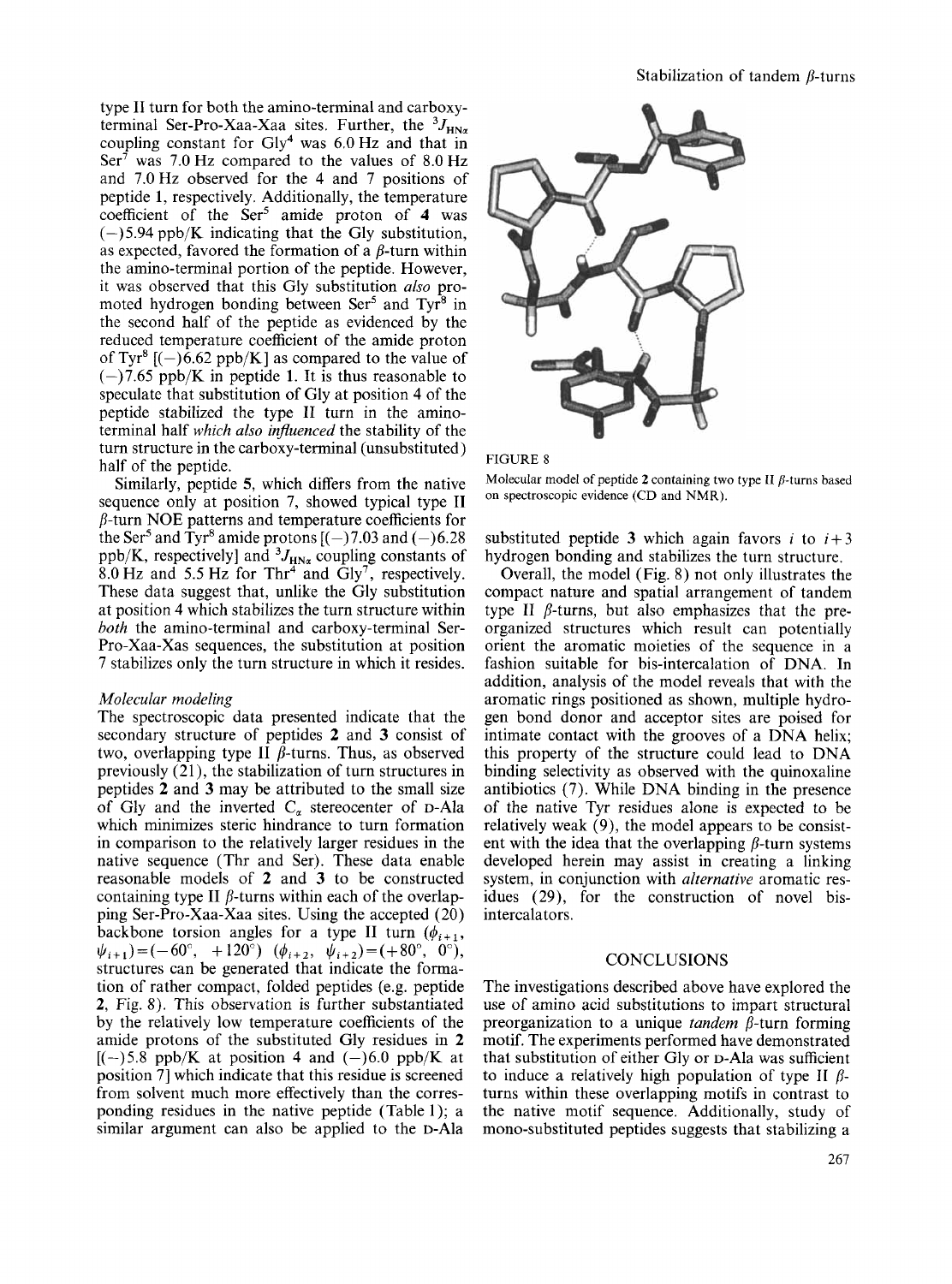type I1 turn for both the amino-terminal and carboxyterminal Ser-Pro-Xaa-Xaa sites. Further, the  ${}^{3}J_{H N \alpha}$ coupling constant for Gly4 was 6.0 Hz and that in Ser<sup> $\bar{\tau}$ </sup> was 7.0 Hz compared to the values of 8.0 Hz and 7.0Hz observed for the 4 and 7 positions of peptide **1,** respectively. Additionally, the temperature coefficient of the Ser' amide proton of **4** was  $(-)$  5.94 ppb/K indicating that the Gly substitution, as expected, favored the formation of a  $\beta$ -turn within the amino-terminal portion of the peptide. However, it was observed that this Gly substitution *also* promoted hydrogen bonding between Ser<sup>5</sup> and Tyr<sup>8</sup> in the second half of the peptide as evidenced by the reduced temperature coefficient of the amide proton of Tyr<sup>8</sup> [(-)6.62 ppb/K] as compared to the value of  $(-)7.65$  ppb/K in peptide 1. It is thus reasonable to speculate that substitution of Gly at position 4 of the peptide stabilized the type 11 turn in the aminoterminal half *which also influenced* the stability of the turn structure in the carboxy-terminal (unsubstituted) half of the peptide.

Similarly, peptide **5,** which differs from the native sequence only at position 7, showed typical type I1  $\beta$ -turn NOE patterns and temperature coefficients for the Ser<sup>5</sup> and Tyr<sup>8</sup> amide protons  $[(-)7.03$  and  $(-)6.28$ ppb/K, respectively] and  ${}^{3}J_{H N_{\alpha}}$  coupling constants of 8.0 Hz and 5.5 Hz for Thr<sup>4</sup> and Gly<sup>7</sup>, respectively. These data suggest that, unlike the Gly substitution at position **4** which stabilizes the turn structure within *both* the amino-terminal and carboxy-terminal Ser-Pro-Xaa-Xas sequences, the substitution at position 7 stabilizes only the turn structure in which it resides.

#### *Moleculur modeling*

The spectroscopic data presented indicate that the secondary structure of peptides **2** and **3** consist of two, overlapping type  $\overline{II}$   $\overline{B}$ -turns. Thus, as observed previously  $(21)$ , the stabilization of turn structures in peptides **2** and **3** may be attributed to the small size of Gly and the inverted  $C_{\alpha}$  stereocenter of D-Ala which minimizes steric hindrance to turn formation in comparison to the relatively larger residues in the native sequence (Thr and Ser). These data enable reasonable models of **2** and **3** to be constructed containing type II  $\beta$ -turns within each of the overlapping Ser-Pro-Xaa-Xaa sites. Using the accepted (20) backbone torsion angles for a type II turn  $(\phi_{i+1},$ structures can be generated that indicate the formation of rather compact, folded peptides (e.g. peptide **2,** Fig. 8). This observation is further substantiated by the relatively low temperature coefficients of the amide protons of the substituted Gly residues in **2**   $[(-)5.8 \text{ pb/K}$  at position 4 and  $(-)6.0 \text{ pb/K}$  at position 71 which indicate that this residue is screened from solvent much more effectively than the corresponding residues in the native peptide (Table 1); a similar argument can also be applied to the D-Ala  $\psi_{i+1}=(-60^{\circ}, +120^{\circ})$   $(\phi_{i+2}, \psi_{i+2})=(+80^{\circ}, 0^{\circ}),$ 



#### FIGURE 8

Molecular model of peptide 2 containing two type **II**  $\beta$ -turns based on spectroscopic evidence (CD and NMR).

substituted peptide 3 which again favors *i* to  $i+3$ hydrogen bonding and stabilizes the turn structure.

Overall, the model (Fig. 8) not only illustrates the compact nature and spatial arrangement of tandem type **II**  $\beta$ -turns, but also emphasizes that the preorganized structures which result can potentially orient the aromatic moieties of the sequence in a fashion suitable for bis-intercalation of DNA. In addition, analysis of the model reveals that with the aromatic rings positioned as shown, multiple hydrogen bond donor and acceptor sites are poised for intimate contact with the grooves of a DNA helix; this property of the structure could lead to DNA binding selectivity as observed with the quinoxaline antibiotics (7). While DNA binding in the presence of the native Tyr residues alone is expected to be relatively weak (9), the model appears to be consistent with the idea that the overlapping  $\beta$ -turn systems developed herein may assist in creating a linking system, in conjunction with *alternative* aromatic residues (29), for the construction of novel bisintercalators.

# **CONCLUSIONS**

The investigations described above have explored the use of amino acid substitutions to impart structural preorganization to a unique *tandem* p-turn forming motif. The experiments performed have demonstrated that substitution of either Gly or D-Ala was sufficient to induce a relatively high population of type **II**  $\beta$ turns within these overlapping motifs in contrast to the native motif sequence. Additionally, study of mono-substituted peptides suggests that stabilizing a